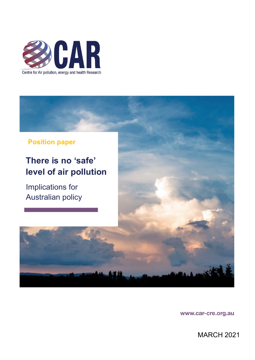



# **There is no 'safe' level of air pollution**

Implications for Australian policy

www.car-cre.org.au

MARCH 2021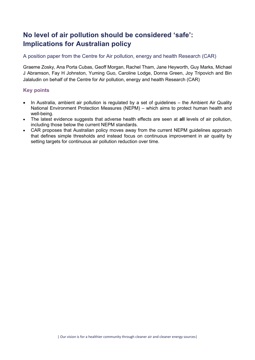# **No level of air pollution should be considered 'safe': Implications for Australian policy**

# A position paper from the Centre for Air pollution, energy and health Research (CAR)

Graeme Zosky, Ana Porta Cubas, Geoff Morgan, Rachel Tham, Jane Heyworth, Guy Marks, Michael J Abramson, Fay H Johnston, Yuming Guo, Caroline Lodge, Donna Green, Joy Tripovich and Bin Jalaludin on behalf of the Centre for Air pollution, energy and health Research (CAR)

# **Key points**

- In Australia, ambient air pollution is regulated by a set of guidelines the Ambient Air Quality National Environment Protection Measures (NEPM) – which aims to protect human health and well-being.
- The latest evidence suggests that adverse health effects are seen at **all** levels of air pollution, including those below the current NEPM standards.
- CAR proposes that Australian policy moves away from the current NEPM guidelines approach that defines simple thresholds and instead focus on continuous improvement in air quality by setting targets for continuous air pollution reduction over time.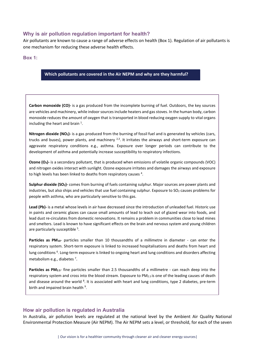#### **Why is air pollution regulation important for health?**

Air pollutants are known to cause a range of adverse effects on health (Box 1). Regulation of air pollutants is one mechanism for reducing these adverse health effects.

#### **Box 1:**

#### **Which pollutants are covered in the Air NEPM and why are they harmful?**

**Carbon monoxide (CO)-** is a gas produced from the incomplete burning of fuel. Outdoors, the key sources are vehicles and machinery, while indoor sources include heaters and gas stoves. In the human body, carbon monoxide reduces the amount of oxygen that is transported in blood reducing oxygen supply to vital organs including the heart and brain<sup>1</sup>.

**Nitrogen dioxide (NO2)-** is a gas produced from the burning of fossil fuel and is generated by vehicles (cars, trucks and buses), power plants, and machinery  $^{2,3}$ . It irritates the airways and short-term exposure can aggravate respiratory conditions e.g., asthma. Exposure over longer periods can contribute to the development of asthma and potentially increase susceptibility to respiratory infections.

**Ozone (O<sub>3</sub>)**- is a secondary pollutant, that is produced when emissions of volatile organic compounds (VOC) and nitrogen oxides interact with sunlight. Ozone exposure irritates and damages the airways and exposure to high levels has been linked to deaths from respiratory causes<sup>4</sup>.

**Sulphur dioxide (SO2)-** comes from burning of fuels containing sulphur. Major sources are power plants and industries, but also ships and vehicles that use fuel containing sulphur. Exposure to  $SO<sub>2</sub>$  causes problems for people with asthma, who are particularly sensitive to this gas.

**Lead (Pb)-** is a metal whose levels in air have decreased since the introduction of unleaded fuel. Historic use in paints and ceramic glazes can cause small amounts of lead to leach out of glazed wear into foods, and lead dust re-circulates from domestic renovations. It remains a problem in communities close to lead mines and smelters. Lead is known to have significant effects on the brain and nervous system and young children are particularly susceptible <sup>5</sup>.

Particles as PM<sub>10</sub>- particles smaller than 10 thousandths of a millimetre in diameter - can enter the respiratory system. Short-term exposure is linked to increased hospitalisations and deaths from heart and lung conditions <sup>6</sup>. Long-term exposure is linked to ongoing heart and lung conditions and disorders affecting metabolism e.g., diabetes <sup>7</sup>.

**Particles as PM2.5**- fine particles smaller than 2.5 thousandths of a millimetre - can reach deep into the respiratory system and cross into the blood stream. Exposure to PM<sub>2.5</sub> is one of the leading causes of death and disease around the world <sup>8</sup>. It is associated with heart and lung conditions, type 2 diabetes, pre-term birth and impaired brain health<sup>9</sup>.

#### **How air pollution is regulated in Australia**

In Australia, air pollution levels are regulated at the national level by the Ambient Air Quality National Environmental Protection Measure (Air NEPM). The Air NEPM sets a level, or threshold, for each of the seven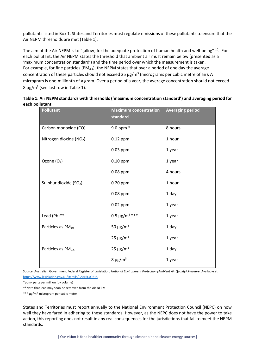pollutants listed in Box 1. States and Territories must regulate emissions of these pollutants to ensure that the Air NEPM thresholds are met (Table 1).

The aim of the Air NEPM is to "[allow] for the adequate protection of human health and well-being" <sup>10</sup>. For each pollutant, the Air NEPM states the threshold that ambient air must remain below (presented as a 'maximum concentration standard') and the time period over which the measurement is taken. For example, for fine particles (PM<sub>2.5</sub>), the NEPM states that over a period of one day the average concentration of these particles should not exceed 25  $\mu$ g/m<sup>3</sup> (micrograms per cubic metre of air). A microgram is one-millionth of a gram. Over a period of a year, the average concentration should not exceed 8  $\mu$ g/m<sup>3</sup> (see last row in Table 1).

| Table 1: Air NEPM standards with thresholds ('maximum concentration standard') and averaging period for |  |
|---------------------------------------------------------------------------------------------------------|--|
| each pollutant                                                                                          |  |

| <b>Pollutant</b>                    | <b>Maximum concentration</b><br>standard | <b>Averaging period</b> |
|-------------------------------------|------------------------------------------|-------------------------|
| Carbon monoxide (CO)                | 9.0 ppm *                                | 8 hours                 |
| Nitrogen dioxide (NO <sub>2</sub> ) | 0.12 ppm                                 | 1 hour                  |
|                                     | 0.03 ppm                                 | 1 year                  |
| Ozone $(O_3)$                       | $0.10$ ppm                               | 1 year                  |
|                                     | 0.08 ppm                                 | 4 hours                 |
| Sulphur dioxide (SO <sub>2</sub> )  | 0.20 ppm                                 | 1 hour                  |
|                                     | 0.08 ppm                                 | 1 day                   |
|                                     | 0.02 ppm                                 | 1 year                  |
| Lead (Pb)**                         | 0.5 $\mu$ g/m <sup>3</sup> ***           | 1 year                  |
| Particles as PM <sub>10</sub>       | 50 $\mu$ g/m <sup>3</sup>                | 1 day                   |
|                                     | $25 \mu g/m^3$                           | 1 year                  |
| Particles as PM <sub>2.5</sub>      | $25 \mu g/m^3$                           | 1 day                   |
|                                     | $8 \mu g/m^3$                            | 1 year                  |

Source: Australian Government Federal Register of Legislation, *National Environment Protection (Ambient Air Quality) Measure*. Available at: <https://www.legislation.gov.au/Details/F2016C00215>

\*ppm- parts per million (by volume)

\*\*Note that lead may soon be removed from the Air NEPM

\*\*\* µg/m3- microgram per cubic meter

States and Territories must report annually to the National Environment Protection Council (NEPC) on how well they have fared in adhering to these standards. However, as the NEPC does not have the power to take action, this reporting does not result in any real consequences for the jurisdictions that fail to meet the NEPM standards.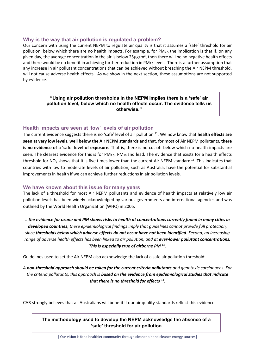#### **Why is the way that air pollution is regulated a problem?**

Our concern with using the current NEPM to regulate air quality is that it assumes a 'safe' threshold for air pollution, below which there are no health impacts. For example, for  $PM_{2.5}$  the implication is that if, on any given day, the average concentration in the air is below  $25\mu$ g/m<sup>3</sup>, then there will be no negative health effects and there would be no benefit in achieving further reduction in  $PM_{2.5}$  levels. There is a further assumption that any increase in air pollutant concentrations that can be achieved without breaching the Air NEPM threshold, will not cause adverse health effects. As we show in the next section, these assumptions are not supported by evidence.

> **"Using air pollution thresholds in the NEPM implies there is a 'safe' air pollution level, below which no health effects occur. The evidence tells us otherwise."**

#### **Health impacts are seen at 'low' levels of air pollution**

The current evidence suggests there is no 'safe' level of air pollution 11. We now know that **health effects are seen at very low levels, well below the Air NEPM standards** and that, for most of Air NEPM pollutants, **there is no evidence of a 'safe' level of exposure.** That is, there is no cut off below which no health impacts are seen. The clearest evidence for this is for  $PM_{2.5}$ ,  $PM_{10}$  and lead. The evidence that exists for a health effects threshold for  $NO<sub>2</sub>$  shows that it is five times lower than the current Air NEPM standard  $^{12}$ . This indicates that countries with low to moderate levels of air pollution, such as Australia, have the potential for substantial improvements in health if we can achieve further reductions in air pollution levels.

#### **We have known about this issue for many years**

The lack of a threshold for most Air NEPM pollutants and evidence of health impacts at relatively low air pollution levels has been widely acknowledged by various governments and international agencies and was outlined by the World Health Organization (WHO) in 2005:

*.. the evidence for ozone and PM shows risks to health at concentrations currently found in many cities in developed countries; these epidemiological findings imply that guidelines cannot provide full protection, since thresholds below which adverse effects do not occur have not been identified. Second, an increasing range of adverse health effects has been linked to air pollution, and at ever-lower pollutant concentrations. This is especially true of airborne PM* 13.

Guidelines used to set the Air NEPM also acknowledge the lack of a safe air pollution threshold:

*A non-threshold approach should be taken for the current criteria pollutants and genotoxic carcinogens. For the criteria pollutants, this approach is based on the evidence from epidemiological studies that indicate that there is no threshold for effects* <sup>14</sup>**.**

CAR strongly believes that all Australians will benefit if our air quality standards reflect this evidence.

**The methodology used to develop the NEPM acknowledge the absence of a 'safe' threshold for air pollution**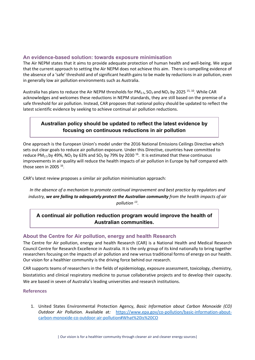## **An evidence-based solution: towards exposure minimisation**

The Air NEPM states that it aims to provide adequate protection of human health and well-being. We argue that the current approach to setting the Air NEPM does not achieve this aim. There is compelling evidence of the absence of a 'safe' threshold and of significant health gains to be made by reductions in air pollution, even in generally low air pollution environments such as Australia.

Australia has plans to reduce the Air NEPM thresholds for  $PM_{2.5}$ ,  $SO_2$  and NO<sub>2</sub> by 2025<sup>15, 10</sup>. While CAR acknowledges and welcomes these reductions in NEPM standards, they are still based on the premise of a safe threshold for air pollution. Instead, CAR proposes that national policy should be updated to reflect the latest scientific evidence by seeking to achieve continual air pollution reductions.

# **Australian policy should be updated to reflect the latest evidence by focusing on continuous reductions in air pollution**

One approach is the European Union's model under the 2016 National Emissions Ceilings Directive which sets out clear goals to reduce air pollution exposure. Under this Directive, countries have committed to reduce PM<sub>2.5</sub> by 49%, NO<sub>2</sub> by 63% and SO<sub>2</sub> by 79% by 2030<sup>16</sup>. It is estimated that these continuous improvements in air quality will reduce the health impacts of air pollution in Europe by half compared with those seen in 2005  $16$ .

CAR's latest review proposes a similar air pollution minimisation approach:

*In the absence of a mechanism to promote continual improvement and best practice by regulators and industry, we are failing to adequately protect the Australian community from the health impacts of air pollution <sup>13</sup>*.

# **A continual air pollution reduction program would improve the health of Australian communities.**

# **About the Centre for Air pollution, energy and health Research**

The Centre for Air pollution, energy and health Research (CAR) is a National Health and Medical Research Council Centre for Research Excellence in Australia. It is the only group of its kind nationally to bring together researchers focusing on the impacts of air pollution and new versus traditional forms of energy on our health. Our vision for a healthier community is the driving force behind our research.

CAR supports teams of researchers in the fields of epidemiology, exposure assessment, toxicology, chemistry, biostatistics and clinical respiratory medicine to pursue collaborative projects and to develop their capacity. We are based in seven of Australia's leading universities and research institutions.

#### **References**

1. United States Environmental Protection Agency, *Basic Information about Carbon Monoxide (CO) Outdoor Air Pollution.* Available at*:* [https://www.epa.gov/co-pollution/basic-information-about](https://www.epa.gov/co-pollution/basic-information-about-carbon-monoxide-co-outdoor-air-pollution#What%20is%20CO)[carbon-monoxide-co-outdoor-air-pollution#What%20is%20CO](https://www.epa.gov/co-pollution/basic-information-about-carbon-monoxide-co-outdoor-air-pollution#What%20is%20CO)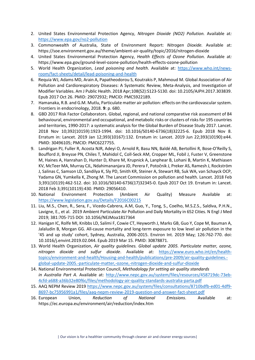- 2. United States Environmental Protection Agency, *Nitrogen Dioxide (NO2) Pollution.* Available at*:* <https://www.epa.gov/no2-pollution>
- 3. Commonwealth of Australia, State of Environment Report: *Nitrogen Dioxide.* Available at: https://soe.environment.gov.au/theme/ambient-air-quality/topic/2016/nitrogen-dioxide
- 4. United States Environmental Protection Agency, *Health Effects of Ozone Pollution.* Available at*:*  https://www.epa.gov/ground-level-ozone-pollution/health-effects-ozone-pollution
- 5. World Health Organization, *Lead poisoning and health*. Available at: [https://www.who.int/news](https://www.who.int/news-room/fact-sheets/detail/lead-poisoning-and-health)[room/fact-sheets/detail/lead-poisoning-and-health](https://www.who.int/news-room/fact-sheets/detail/lead-poisoning-and-health)
- 6. Requia WJ, Adams MD, Arain A, Papatheodorou S, Koutrakis P, Mahmoud M. Global Association of Air Pollution and Cardiorespiratory Diseases: A Systematic Review, Meta-Analysis, and Investigation of Modifier Variables. Am J Public Health. 2018 Apr;108(S2):S123-S130. doi: 10.2105/AJPH.2017.303839. Epub 2017 Oct 26. PMID: 29072932; PMCID: PMC5922189.
- 7. Hamanaka, R.B. and G.M. Mutlu, Particulate matter air pollution: effects on the cardiovascular system. Frontiers in endocrinology, 2018. **9**: p. 680.
- 8. GBD 2017 Risk Factor Collaborators. Global, regional, and national comparative risk assessment of 84 behavioural, environmental and occupational, and metabolic risks or clusters of risks for 195 countries and territories, 1990-2017: a systematic analysis for the Global Burden of Disease Study 2017. Lancet. 2018 Nov 10;392(10159):1923-1994. doi: 10.1016/S0140-6736(18)32225-6. Epub 2018 Nov 8. Erratum in: Lancet. 2019 Jan 12;393(10167):132. Erratum in: Lancet. 2019 Jun 22;393(10190):e44. PMID: 30496105; PMCID: PMC6227755.
- 9. Landrigan PJ, Fuller R, Acosta NJR, Adeyi O, Arnold R, Basu NN, Baldé AB, Bertollini R, Bose-O'Reilly S, Boufford JI, Breysse PN, Chiles T, Mahidol C, Coll-Seck AM, Cropper ML, Fobil J, Fuster V, Greenstone M, Haines A, Hanrahan D, Hunter D, Khare M, Krupnick A, Lanphear B, Lohani B, Martin K, Mathiasen KV, McTeer MA, Murray CJL, Ndahimananjara JD, Perera F, Potočnik J, Preker AS, Ramesh J, Rockström J, Salinas C, Samson LD, Sandilya K, Sly PD, Smith KR, Steiner A, Stewart RB, Suk WA, van Schayck OCP, Yadama GN, Yumkella K, Zhong M. The Lancet Commission on pollution and health. Lancet. 2018 Feb 3;391(10119):462-512. doi: 10.1016/S0140-6736(17)32345-0. Epub 2017 Oct 19. Erratum in: Lancet. 2018 Feb 3;391(10119):430. PMID: 29056410.
- 10. National Environment Protection (Ambient Air Quality) Measure Available at: <https://www.legislation.gov.au/Details/F2016C00215>
- 11. Liu, M.S., Chen, R., Sera, F., Vicedo-Cabrera, A.M, Guo, Y., Tong, S., Coelho, M.S.Z.S., Saldiva, P.H.N., Lavigne, E., et al. 2019 Ambient Particulate Air Pollution and Daily Mortality in 652 Cities. N Engl J Med 2019; 381:705-715 DOI: 10.1056/NEJMoa1817364
- 12. Hanigan IC, Rolfe MI, Knibbs LD, Salimi F, Cowie CT, Heyworth J, Marks GB, Guo Y, Cope M, Bauman A, Jalaludin B, Morgan GG. All-cause mortality and long-term exposure to low level air pollution in the '45 and up study' cohort, Sydney, Australia, 2006-2015. Environ Int. 2019 May; 126:762-770. doi: 10.1016/j.envint.2019.02.044. Epub 2019 Mar 15. PMID: 30878871.
- 13. World Health Organization, *Air quality guidelines. Global update 2005. Particulate matter, ozone, nitrogen dioxide and sulfur dioxide*. Available at: [https://www.euro.who.int/en/health](https://www.euro.who.int/en/health-topics/environment-and-health/Housing-and-health/publications/pre-2009/air-quality-guidelines.-global-update-2005.-particulate-matter,-ozone,-nitrogen-dioxide-and-sulfur-dioxide)[topics/environment-and-health/Housing-and-health/publications/pre-2009/air-quality-guidelines.](https://www.euro.who.int/en/health-topics/environment-and-health/Housing-and-health/publications/pre-2009/air-quality-guidelines.-global-update-2005.-particulate-matter,-ozone,-nitrogen-dioxide-and-sulfur-dioxide) [global-update-2005.-particulate-matter,-ozone,-nitrogen-dioxide-and-sulfur-dioxide](https://www.euro.who.int/en/health-topics/environment-and-health/Housing-and-health/publications/pre-2009/air-quality-guidelines.-global-update-2005.-particulate-matter,-ozone,-nitrogen-dioxide-and-sulfur-dioxide)
- 14. National Environmental Protection Council, *Methodology for setting air quality standards in Australia Part A*. Available at: [http://www.nepc.gov.au/system/files/resources/458719dc-73eb-](http://www.nepc.gov.au/system/files/resources/458719dc-73eb-4cfd-a688-a36b32e80f6c/files/methodology-air-quality-standards-australia-parta.pdf)[4cfd-a688-a36b32e80f6c/files/methodology-air-quality-standards-australia-parta.pdf](http://www.nepc.gov.au/system/files/resources/458719dc-73eb-4cfd-a688-a36b32e80f6c/files/methodology-air-quality-standards-australia-parta.pdf)
- 15. AAQ NEPM Review 2019 [https://www.nepc.gov.au/system/files/consultations/8710bdfb-ed01-4df9-](https://www.nepc.gov.au/system/files/consultations/8710bdfb-ed01-4df9-8697-bc75956991a1/files/aaq-nepm-review-2019-question-and-answer-fact-sheet.pdf) [8697-bc75956991a1/files/aaq-nepm-review-2019-question-and-answer-fact-sheet.pdf](https://www.nepc.gov.au/system/files/consultations/8710bdfb-ed01-4df9-8697-bc75956991a1/files/aaq-nepm-review-2019-question-and-answer-fact-sheet.pdf)
- 16. European Union, *Reduction of National Emissions*. Available at: https://ec.europa.eu/environment/air/reduction/index.htm